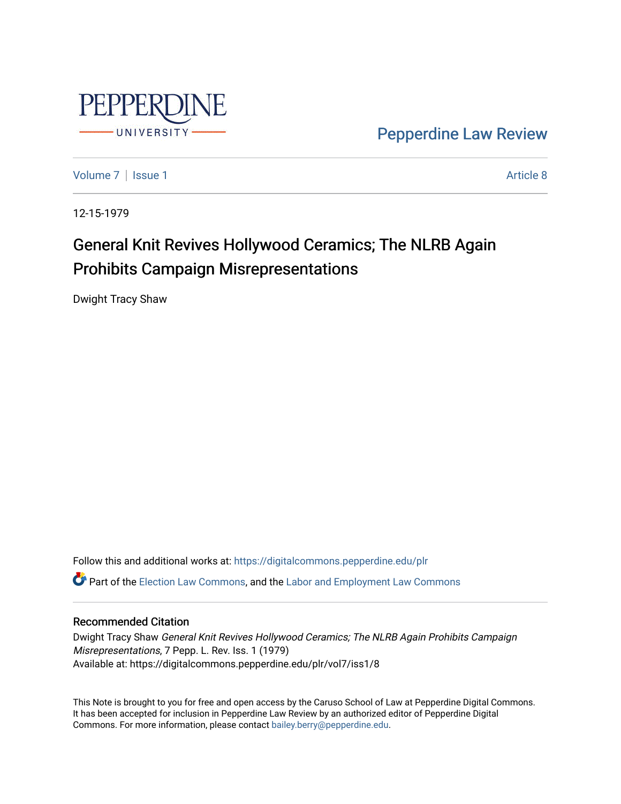

[Pepperdine Law Review](https://digitalcommons.pepperdine.edu/plr) 

[Volume 7](https://digitalcommons.pepperdine.edu/plr/vol7) | [Issue 1](https://digitalcommons.pepperdine.edu/plr/vol7/iss1) Article 8

12-15-1979

# General Knit Revives Hollywood Ceramics; The NLRB Again Prohibits Campaign Misrepresentations

Dwight Tracy Shaw

Follow this and additional works at: [https://digitalcommons.pepperdine.edu/plr](https://digitalcommons.pepperdine.edu/plr?utm_source=digitalcommons.pepperdine.edu%2Fplr%2Fvol7%2Fiss1%2F8&utm_medium=PDF&utm_campaign=PDFCoverPages) **C** Part of the [Election Law Commons](http://network.bepress.com/hgg/discipline/1121?utm_source=digitalcommons.pepperdine.edu%2Fplr%2Fvol7%2Fiss1%2F8&utm_medium=PDF&utm_campaign=PDFCoverPages), and the [Labor and Employment Law Commons](http://network.bepress.com/hgg/discipline/909?utm_source=digitalcommons.pepperdine.edu%2Fplr%2Fvol7%2Fiss1%2F8&utm_medium=PDF&utm_campaign=PDFCoverPages)

# Recommended Citation

Dwight Tracy Shaw General Knit Revives Hollywood Ceramics; The NLRB Again Prohibits Campaign Misrepresentations, 7 Pepp. L. Rev. Iss. 1 (1979) Available at: https://digitalcommons.pepperdine.edu/plr/vol7/iss1/8

This Note is brought to you for free and open access by the Caruso School of Law at Pepperdine Digital Commons. It has been accepted for inclusion in Pepperdine Law Review by an authorized editor of Pepperdine Digital Commons. For more information, please contact [bailey.berry@pepperdine.edu](mailto:bailey.berry@pepperdine.edu).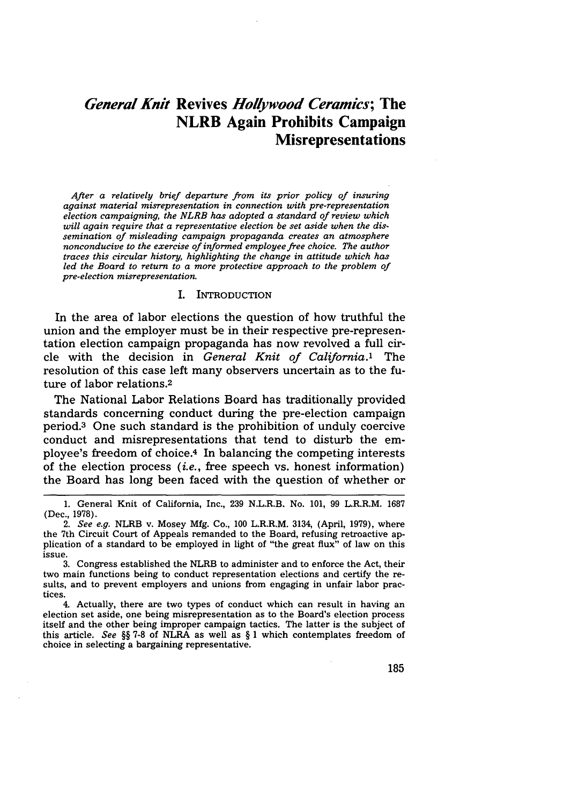# *General Knit* **Revives** *Hollywood Ceramics;* **The NLRB Again Prohibits Campaign Misrepresentations**

*After a relatively brief departure from its prior policy of insuring against material misrepresentation in connection with pre-representation election campaigning, the NLRB has adopted a standard of review which will again require that a representative election be set aside when the dissemination of misleading campaign propaganda creates an atmosphere nonconducive to the exercise of informed employee free choice. The author traces this circular history, highlighting the change in attitude which has led the Board to return to a more protective approach to the problem of pre-election misrepresentation.*

#### I. INTRODUCTION

In the area of labor elections the question of how truthful the union and the employer must be in their respective pre-representation election campaign propaganda has now revolved a full circle with the decision in *General Knit of California.'* The resolution of this case left many observers uncertain as to the future of labor relations.<sup>2</sup>

The National Labor Relations Board has traditionally provided standards concerning conduct during the pre-election campaign period. 3 One such standard is the prohibition of unduly coercive conduct and misrepresentations that tend to disturb the employee's freedom of choice.4 In balancing the competing interests of the election process *(i.e.,* free speech vs. honest information) the Board has long been faced with the question of whether or

<sup>1.</sup> General Knit of California, Inc., 239 N.L.R.B. No. 101, 99 L.R.R.M. 1687 (Dec., 1978).

*<sup>2.</sup> See e.g.* NLRB v. Mosey Mfg. Co., 100 L.R.R.M. 3134, (April, 1979), where the 7th Circuit Court of Appeals remanded to the Board, refusing retroactive application of a standard to be employed in light of "the great flux" of law on this issue.

<sup>3.</sup> Congress established the NLRB to administer and to enforce the Act, their two main functions being to conduct representation elections and certify the results, and to prevent employers and unions from engaging in unfair labor practices.

<sup>4.</sup> Actually, there are two types of conduct which can result in having an election set aside, one being misrepresentation as to the Board's election process itself and the other being improper campaign tactics. The latter is the subject of this article. *See §§* 7-8 of NLRA as well as § 1 which contemplates freedom of choice in selecting a bargaining representative.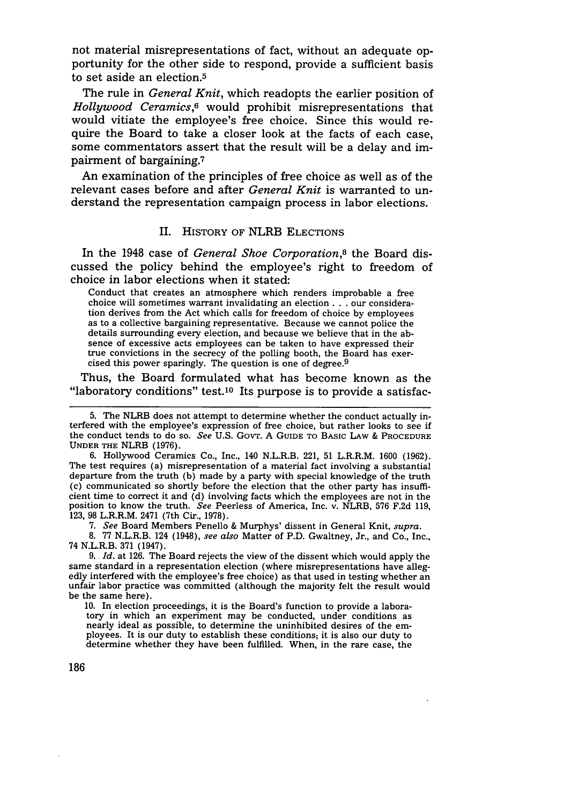not material misrepresentations of fact, without an adequate opportunity for the other side to respond, provide a sufficient basis to set aside an election.<sup>5</sup>

The rule in *General Knit,* which readopts the earlier position of *Hollywood Ceramics,6* would prohibit misrepresentations that would vitiate the employee's free choice. Since this would require the Board to take a closer look at the facts of each case, some commentators assert that the result will be a delay and impairment of bargaining.7

An examination of the principles of free choice as well as of the relevant cases before and after *General Knit* is warranted to understand the representation campaign process in labor elections.

## II. **HISTORY OF** NLRB ELECTIONS

In the 1948 case of *General Shoe Corporation,8* the Board discussed the policy behind the employee's right to freedom of choice in labor elections when it stated:

Conduct that creates an atmosphere which renders improbable a free choice will sometimes warrant invalidating an election **...** our consideration derives from the Act which calls for freedom of choice by employees as to a collective bargaining representative. Because we cannot police the details surrounding every election, and because we believe that in the absence of excessive acts employees can be taken to have expressed their true convictions in the secrecy of the polling booth, the Board has exercised this power sparingly. The question is one of degree.9

Thus, the Board formulated what has become known as the "laboratory conditions" test.<sup>10</sup> Its purpose is to provide a satisfac-

6. Hollywood Ceramics Co., Inc., 140 N.L.R.B. 221, 51 L.R.R.M. 1600 (1962). The test requires (a) misrepresentation of a material fact involving a substantial departure from the truth (b) made by a party with special knowledge of the truth (c) communicated so shortly before the election that the other party has insufficient time to correct it and (d) involving facts which the employees are not in the position to know the truth. *See* Peerless of America, Inc. v. NLRB, 576 F.2d 119, 123, 98 L.R.R.M. 2471 (7th Cir., 1978).

**7.** *See* Board Members Penello & Murphys' dissent in General Knit, *supra.*

8. 77 N.L.R.B. 124 (1948), *see also* Matter of P.D. Gwaltney, Jr., and Co., Inc., 74 N.L.R.B. 371 (1947).

9. *Id.* at 126. The Board rejects the view of the dissent which would apply the same standard in a representation election (where misrepresentations have alleg-<br>edly interfered with the employee's free choice) as that used in testing whether an unfair labor practice was committed (although the majority felt the result would be the same here).

**10.** In election proceedings, it is the Board's function to provide a laboratory in which an experiment may be conducted, under conditions as nearly ideal as possible, to determine the uninhibited desires of the employees. It is our duty to establish these conditions; it is also our duty to determine whether they have been fulfilled. When, in the rare case, the

<sup>5.</sup> The NLRB does not attempt to determine whether the conduct actually interfered with the employee's expression of free choice, but rather looks to see if the conduct tends to do so. *See* U.S. GovT. A **GUIDE** TO BASIC LAw & PROCEDURE **UNDER** THE NLRB (1976).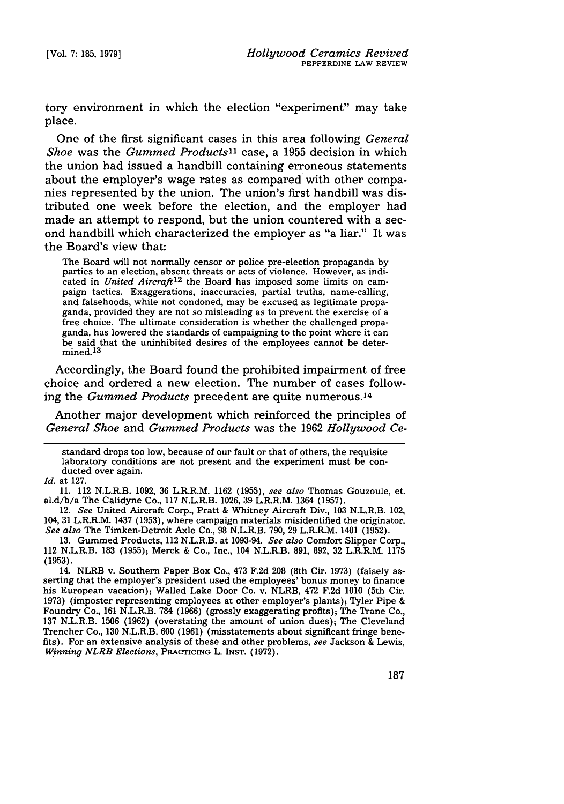tory environment in which the election "experiment" may take place.

One of the first significant cases in this area following *General Shoe* was the *Gummed Products*<sup>11</sup> case, a 1955 decision in which the union had issued a handbill containing erroneous statements about the employer's wage rates as compared with other companies represented by the union. The union's first handbill was distributed one week before the election, and the employer had made an attempt to respond, but the union countered with a second handbill which characterized the employer as "a liar." It was the Board's view that:

The Board will not normally censor or police pre-election propaganda by parties to an election, absent threats or acts of violence. However, as indicated in *United Aircraft*<sup>12</sup> the Board has imposed some limits on campaign tactics. Exaggerations, inaccuracies, partial truths, name-calling, and falsehoods, while not condoned, may be excused as legitimate propaganda, provided they are not so misleading as to prevent the exercise of a free choice. The ultimate consideration is whether the challenged propaganda, has lowered the standards of campaigning to the point where it can be said that the uninhibited desires of the employees cannot be determined. 13

Accordingly, the Board found the prohibited impairment of free choice and ordered a new election. The number of cases following the *Gummed Products* precedent are quite numerous.<sup>14</sup>

Another major development which reinforced the principles of *General Shoe* and *Gummed Products* was the 1962 *Hollywood Ce-*

standard drops too low, because of our fault or that of others, the requisite laboratory conditions are not present and the experiment must be conducted over again.

*Id.* at 127.

11. 112 N.L.R.B. 1092, 36 L.R.R.M. 1162 (1955), *see also* Thomas Gouzoule, et. al.d/b/a The Calidyne Co., 117 N.L.R.B. 1026, 39 L.R.R.M. 1364 (1957).

12. *See* United Aircraft Corp., Pratt & Whitney Aircraft Div., 103 N.L.R.B. 102, 164, 31 L.R.R.M. 1437 (1953), where campaign materials misidentified the originator. *See also* The Timken-Detroit Axle Co., 98 N.L.R.B. 790, 29 L.R.R.M. 1401 (1952).

13. Gummed Products, 112 N.L.R.B. at 1093-94. *See also* Comfort Slipper Corp., 112 N.L.R.B. 183 (1955); Merck & Co., Inc., 104 N.L.R.B. 891, 892, 32 L.R.R.M. 1175 (1953).

14. NLRB v. Southern Paper Box Co., 473 F.2d 208 (8th Cir. 1973) (falsely asserting that the employer's president used the employees' bonus money to finance his European vacation); Walled Lake Door Co. v. NLRB, 472 F.2d 1010 (5th Cir. 1973) (imposter representing employees at other employer's plants); Tyler Pipe & Foundry Co., 161 N.L.R.B. 784 (1966) (grossly exaggerating profits); The Trane Co., 137 N.L.R.B. 1506 (1962) (overstating the amount of union dues); The Cleveland Trencher Co., 130 N.L.R.B. 600 (1961) (misstatements about significant fringe benefits). For an extensive analysis of these and other problems, *see* Jackson & Lewis, *Winning NLRB Elections,* **PRACTICING** L. **INST. (1972).**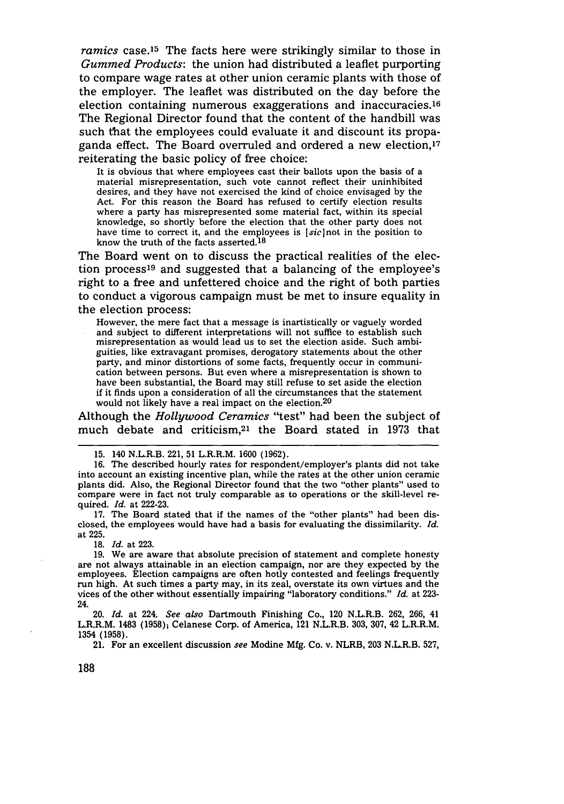*ramics* case.<sup>15</sup> The facts here were strikingly similar to those in *Gummed Products:* the union had distributed a leaflet purporting to compare wage rates at other union ceramic plants with those of the employer. The leaflet was distributed on the day before the election containing numerous exaggerations and inaccuracies.<sup>16</sup> The Regional Director found that the content of the handbill was such that the employees could evaluate it and discount its propaganda effect. The Board overruled and ordered a new election,17 reiterating the basic policy of free choice:

It is obvious that where employees cast their ballots upon the basis of a material misrepresentation, such vote cannot reflect their uninhibited desires, and they have not exercised the kind of choice envisaged by the Act. For this reason the Board has refused to certify election results where a party has misrepresented some material fact, within its special knowledge, so shortly before the election that the other party does not have time to correct it, and the employees is *[sic]not* in the position to know the truth of the facts asserted.<sup>18</sup>

The Board went on to discuss the practical realities of the election process19 and suggested that a balancing of the employee's right to a free and unfettered choice and the right of both parties to conduct a vigorous campaign must be met to insure equality in the election process:

However, the mere fact that a message is inartistically or vaguely worded and subject to different interpretations will not suffice to establish such misrepresentation as would lead us to set the election aside. Such ambiguities, like extravagant promises, derogatory statements about the other party, and minor distortions of some facts, frequently occur in communication between persons. But even where a misrepresentation is shown to have been substantial, the Board may still refuse to set aside the election if it finds upon a consideration of all the circumstances that the statement would not likely have a real impact on the election.<sup>20</sup>

Although the *Hollywood Ceramics* "test" had been the subject of much debate and criticism,<sup>21</sup> the Board stated in 1973 that

17. The Board stated that if the names of the "other plants" had been disclosed, the employees would have had a basis for evaluating the dissimilarity. *Id.* at 225.

18. *Id.* at 223.

19. We are aware that absolute precision of statement and complete honesty are not always attainable in an election campaign, nor are they expected by the employees. Election campaigns are often hotly contested and feelings frequently run high. At such times a party may, in its zeal, overstate its own virtues and the vices of the other without essentially impairing "laboratory conditions." *Id.* at 223- 24.

20. *Id.* at 224. *See also* Dartmouth Finishing Co., 120 N.L.R.B. 262, 266, 41 L.R.R.M. 1483 **(1958);** Celanese Corp. of America, 121 N.L.R.B. 303, 307, 42 L.R.R.M. 1354 (1958).

21. For an excellent discussion see Modine Mfg. Co. v. NLRB, 203 N.L.R.B. 527,

188

<sup>15. 140</sup> N.L.R.B. 221, 51 L.R.R.M. 1600 (1962).

<sup>16.</sup> The described hourly rates for respondent/employer's plants did not take into account an existing incentive plan, while the rates at the other union ceramic plants did. Also, the Regional Director found that the two "other plants" used to compare were in fact not truly comparable as to operations or the skill-level required. *Id.* at 222-23.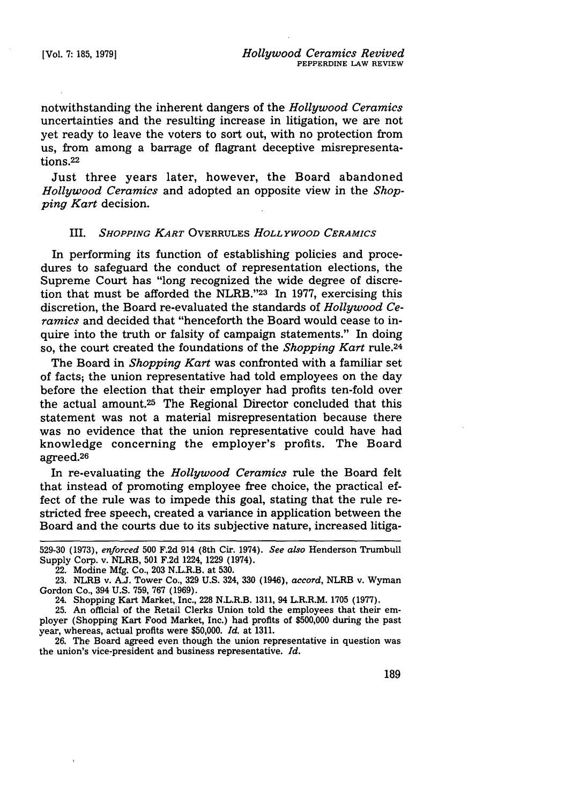notwithstanding the inherent dangers of the *Hollywood Ceramics* uncertainties and the resulting increase in litigation, we are not yet ready to leave the voters to sort out, with no protection from us, from among a barrage of flagrant deceptive misrepresentations.<sup>22</sup>

Just three years later, however, the Board abandoned *Hollywood Ceramics* and adopted an opposite view in the *Shopping Kart* decision.

### III. *SHOPPING KART* OVERRULES *HOLLYWOOD CERAMICS*

In performing its function of establishing policies and procedures to safeguard the conduct of representation elections, the Supreme Court has "long recognized the wide degree of discretion that must be afforded the NLRB."23 In 1977, exercising this discretion, the Board re-evaluated the standards of *Hollywood Ceramics* and decided that "henceforth the Board would cease to inquire into the truth or falsity of campaign statements." In doing so, the court created the foundations of the *Shopping Kart* rule.24

The Board in *Shopping Kart* was confronted with a familiar set of facts; the union representative had told employees on the day before the election that their employer had profits ten-fold over the actual amount.25 The Regional Director concluded that this statement was not a material misrepresentation because there was no evidence that the union representative could have had knowledge concerning the employer's profits. The Board agreed.<sup>26</sup>

In re-evaluating the *Hollywood Ceramics* rule the Board felt that instead of promoting employee free choice, the practical effect of the rule was to impede this goal, stating that the rule restricted free speech, created a variance in application between the Board and the courts due to its subjective nature, increased litiga-

<sup>529-30</sup> **(1973),** *enforced* 500 **F.2d** 914 (8th Cir. 1974). *See also* Henderson Trumbull Supply Corp. v. NLRB, 501 F.2d 1224, 1229 (1974).

<sup>22.</sup> Modine Mfg. Co., 203 N.L.R.B. at 530.

<sup>23.</sup> NLRB v. A.J. Tower Co., 329 U.S. 324, 330 (1946), *accord,* NLRB v. Wyman Gordon Co., 394 U.S. 759, 767 (1969). 24. Shopping Kart Market, Inc., 228 N.L.R.B. 1311, 94 L.R.R.M. 1705 (1977).

<sup>25.</sup> An official of the Retail Clerks Union told the employees that their employer (Shopping Kart Food Market, Inc.) had profits of \$500,000 during the past year, whereas, actual profits were \$50,000. *Id.* at 1311.

<sup>26.</sup> The Board agreed even though the union representative in question was the union's vice-president and business representative. *Id.*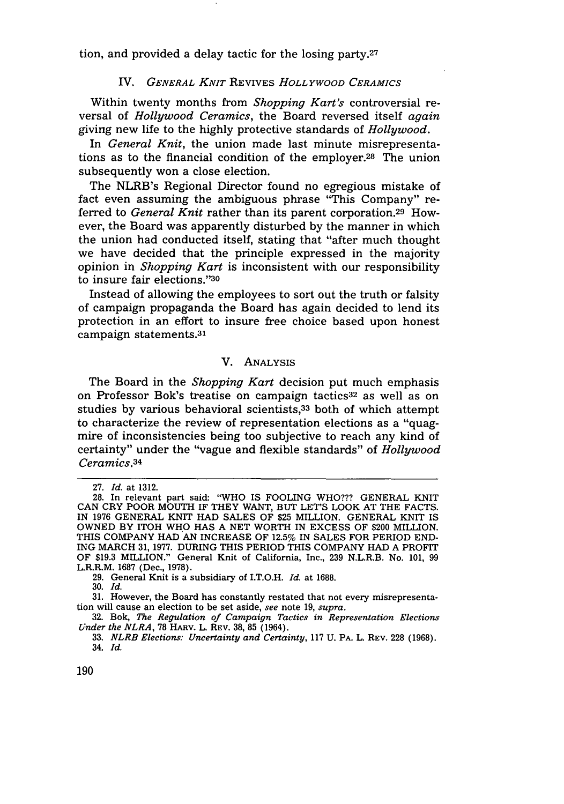tion, and provided a delay tactic for the losing party. $27$ 

#### *IV. GENERAL KNIT* REVIVES *HOLLYWOOD CERAMICS*

Within twenty months from *Shopping Kart's* controversial reversal of *Hollywood Ceramics,* the Board reversed itself *again* giving new life to the highly protective standards of *Hollywood.*

In *General Knit,* the union made last minute misrepresentations as to the financial condition of the employer.28 The union subsequently won a close election.

The NLRB's Regional Director found no egregious mistake of fact even assuming the ambiguous phrase "This Company" referred to *General Knit* rather than its parent corporation.<sup>29</sup> However, the Board was apparently disturbed by the manner in which the union had conducted itself, stating that "after much thought we have decided that the principle expressed in the majority opinion in *Shopping Kart* is inconsistent with our responsibility to insure fair elections."30

Instead of allowing the employees to sort out the truth or falsity of campaign propaganda the Board has again decided to lend its protection in an effort to insure free choice based upon honest campaign statements.<sup>31</sup>

# V. ANALYSIS

The Board in the *Shopping Kart* decision put much emphasis on Professor Bok's treatise on campaign tactics<sup>32</sup> as well as on studies by various behavioral scientists,<sup>33</sup> both of which attempt to characterize the review of representation elections as a "quagmire of inconsistencies being too subjective to reach any kind of certainty" under the "vague and flexible standards" of *Hollywood Ceramics.34*

<sup>27.</sup> *Id.* at 1312.

<sup>28.</sup> In relevant part said: "WHO IS FOOLING WHO??? GENERAL KNIT CAN CRY POOR MOUTH IF THEY WANT, BUT LET'S LOOK AT THE FACTS. IN 1976 GENERAL KNIT HAD SALES OF \$25 MILLION. GENERAL KNIT IS OWNED BY ITOH WHO HAS A NET WORTH IN EXCESS OF \$200 MILLION. THIS COMPANY HAD AN INCREASE OF 12.5% IN SALES FOR PERIOD END-ING MARCH 31, 1977. DURING THIS PERIOD THIS COMPANY HAD A PROFIT OF \$19.3 MILLION." General Knit of California, Inc., 239 N.L.R.B. No. 101, 99 L.R.R.M. 1687 (Dec., 1978).

<sup>29.</sup> General Knit is a subsidiary of I.T.O.H. *Id.* at 1688.

<sup>30.</sup> *Id.*

<sup>31.</sup> However, the Board has constantly restated that not every misrepresentation will cause an election to be set aside, see note 19, *supra.*

<sup>32.</sup> Bok, *The Regulation of Campaign Tactics in Representation Elections Under the NLRA,* 78 HARv. L. REV. 38, 85 (1964).

**<sup>33.</sup>** *NLRB Elections. Uncertainty and Certainty,* **117 U.** PA. L. REV. 228 **(1968).** 34. *Id.*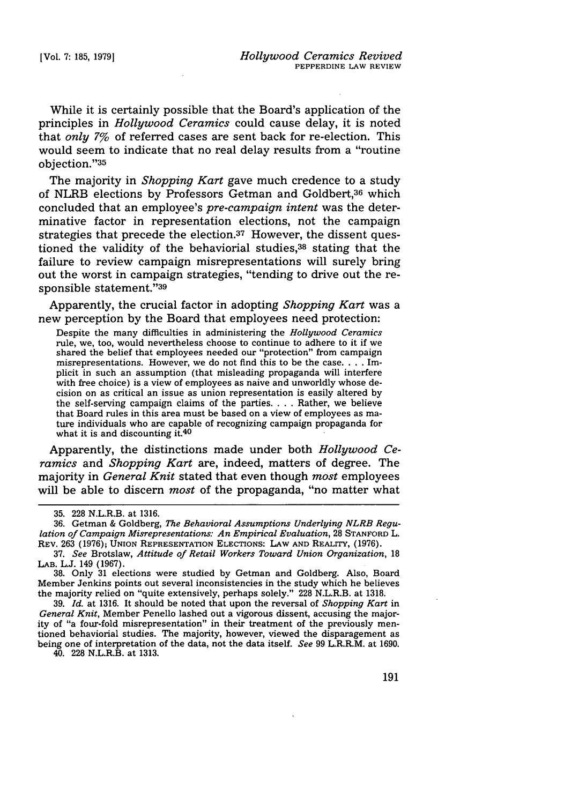While it is certainly possible that the Board's application of the principles in *Hollywood Ceramics* could cause delay, it is noted that *only 7%* of referred cases are sent back for re-election. This would seem to indicate that no real delay results from a "routine objection."<sup>35</sup>

The majority in *Shopping Kart* gave much credence to a study of NLRB elections by Professors Getman and Goldbert,36 which concluded that an employee's *pre-campaign intent* was the determinative factor in representation elections, not the campaign strategies that precede the election.37 However, the dissent questioned the validity of the behaviorial studies,38 stating that the failure to review campaign misrepresentations will surely bring out the worst in campaign strategies, "tending to drive out the responsible statement."39

Apparently, the crucial factor in adopting *Shopping Kart* was a new perception by the Board that employees need protection:

Despite the many difficulties in administering the *Hollywood Ceramics* rule, we, too, would nevertheless choose to continue to adhere to it if we shared the belief that employees needed our "protection" from campaign misrepresentations. However, we do not find this to be the case **....** Implicit in such an assumption (that misleading propaganda will interfere with free choice) is a view of employees as naive and unworldly whose decision on as critical an issue as union representation is easily altered by the self-serving campaign claims of the parties **....** Rather, we believe that Board rules in this area must be based on a view of employees as mature individuals who are capable of recognizing campaign propaganda for what it is and discounting it.<sup>40</sup>

Apparently, the distinctions made under both *Hollywood Ceramics* and *Shopping Kart* are, indeed, matters of degree. The majority in *General Knit* stated that even though *most* employees will be able to discern *most* of the propaganda, "no matter what

40. **228** N.L.R.B. at **1313.**

<sup>35. 228</sup> N.L.R.B. at 1316.

<sup>36.</sup> Getman & Goldberg, *The Behavioral Assumptions Underlying NLRB Regulation of Campaign Misrepresentations: An Empirical Evaluation, 28 STANFORD L.* REV. **263** (1976); **UNION** REPRESENTATION ELECTIONS: LAW **AND** REALITY, (1976).

<sup>37.</sup> *See* Brotslaw, *Attitude of Retail Workers Toward Union Organization,* 18 LAB. L.J. 149 (1967).

**<sup>38.</sup>** Only 31 elections were studied by Getman and Goldberg. Also, Board Member Jenkins points out several inconsistencies in the study which he believes the majority relied on "quite extensively, perhaps solely." 228 N.L.R.B. at **1318.**

<sup>39.</sup> *Id.* at 1316. It should be noted that upon the reversal of *Shopping Kart* in *General Knit,* Member Penello lashed out a vigorous dissent, accusing the majority of "a four-fold misrepresentation" in their treatment of the previously mentioned behaviorial studies. The majority, however, viewed the disparagement as being one of interpretation of the data, not the data itself. *See* **99** L.R.R.M. at **1690.**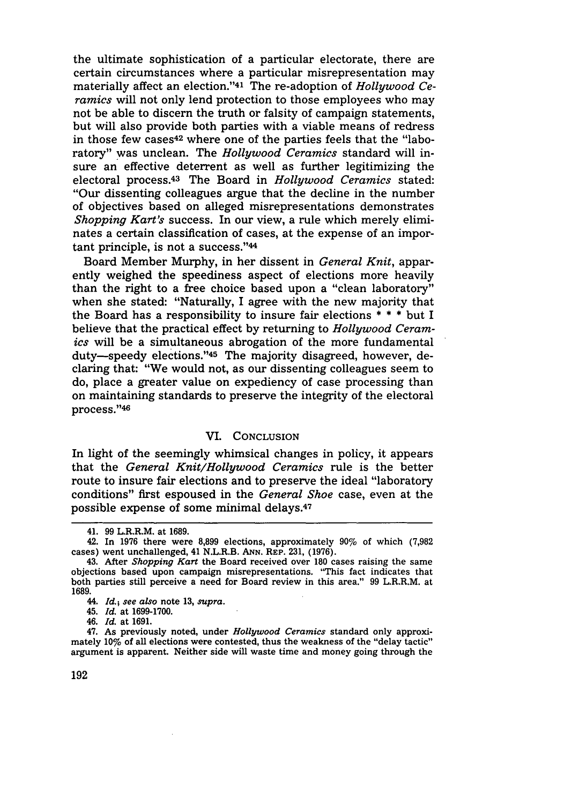the ultimate sophistication of a particular electorate, there are certain circumstances where a particular misrepresentation may materially affect an election."<sup>41</sup> The re-adoption of *Hollywood Ceramics* will not only lend protection to those employees who may not be able to discern the truth or falsity of campaign statements, but will also provide both parties with a viable means of redress in those few cases<sup>42</sup> where one of the parties feels that the "laboratory" was unclean. The *Hollywood Ceramics* standard will insure an effective deterrent as well as further legitimizing the electoral process. 43 The Board in *Hollywood Ceramics* stated: "Our dissenting colleagues argue that the decline in the number of objectives based on alleged misrepresentations demonstrates *Shopping Kart's* success. In our view, a rule which merely eliminates a certain classification of cases, at the expense of an important principle, is not a success."44

Board Member Murphy, in her dissent in *General Knit,* apparently weighed the speediness aspect of elections more heavily than the right to a free choice based upon a "clean laboratory" when she stated: "Naturally, I agree with the new majority that the Board has a responsibility to insure fair elections \* \* \* but I believe that the practical effect by returning to *Hollywood Ceramics* will be a simultaneous abrogation of the more fundamental duty-speedy elections."<sup>45</sup> The majority disagreed, however, declaring that: "We would not, as our dissenting colleagues seem to do, place a greater value on expediency of case processing than on maintaining standards to preserve the integrity of the electoral process."46

### VI. CONCLUSION

In light of the seemingly whimsical changes in policy, it appears that the *General Knit/Hollywood Ceramics* rule is the better route to insure fair elections and to preserve the ideal "laboratory conditions" first espoused in the *General Shoe* case, even at the possible expense of some minimal delays.47

<sup>41. 99</sup> L.R.R.M. at 1689.

<sup>42.</sup> In 1976 there were 8,899 elections, approximately 90% of which (7,982 cases) went unchallenged, 41 N.L.R.B. **ANN.** REP. 231, (1976).

<sup>43.</sup> After *Shopping Kart* the Board received over 180 cases raising the same objections based upon campaign misrepresentations. "This fact indicates that both parties still perceive a need for Board review in this area." 99 L.R.R.M. at 1689.

<sup>44.</sup> *Id.; see also* note 13, *supra.*

<sup>45.</sup> *Id.* at 1699-1700.

<sup>46.</sup> *Id.* at 1691.

<sup>47.</sup> As previously noted, under *Hollywood Ceramics* standard only approximately 10% of all elections were contested, thus the weakness of the "delay tactic" argument is apparent. Neither side will waste time and money going through the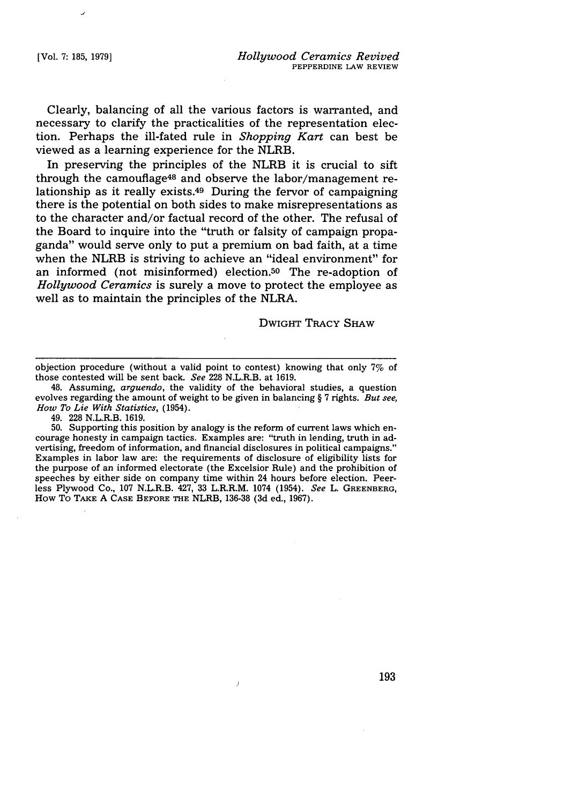Clearly, balancing of all the various factors is warranted, and necessary to clarify the practicalities of the representation election. Perhaps the ill-fated rule in *Shopping Kart* can best be viewed as a learning experience for the NLRB.

In preserving the principles of the NLRB it is crucial to sift through the camouflage<sup>48</sup> and observe the labor/management relationship as it really exists.49 During the fervor of campaigning there is the potential on both sides to make misrepresentations as to the character and/or factual record of the other. The refusal of the Board to inquire into the "truth or falsity of campaign propaganda" would serve only to put a premium on bad faith, at a time when the NLRB is striving to achieve an "ideal environment" for an informed (not misinformed) election.<sup>50</sup> The re-adoption of *Hollywood Ceramics* is surely a move to protect the employee as well as to maintain the principles of the NLRA.

DWIGHT TRACY SHAW

50. Supporting this position by analogy is the reform of current laws which encourage honesty in campaign tactics. Examples are: "truth in lending, truth in advertising, freedom of information, and financial disclosures in political campaigns." Examples in labor law are: the requirements of disclosure of eligibility lists for the purpose of an informed electorate (the Excelsior Rule) and the prohibition of speeches by either side on company time within 24 hours before election. Peerless Plywood Co., 107 N.L.R.B. 427, 33 L.R.R.M. 1074 (1954). *See* L. GREENBERG, How To TAKE **A CASE** BEFORE THE NLRB, **136-38 (3d** ed., 1967).

 $\overline{J}$ 

objection procedure (without a valid point to contest) knowing that only 7% of those contested will be sent back. *See* 228 N.L.R.B. at 1619.

<sup>48.</sup> Assuming, *arguendo,* the validity of the behavioral studies, a question evolves regarding the amount of weight to be given in balancing § 7 rights. *But see, How To Lie With Statistics,* (1954).

<sup>49. 228</sup> N.L.R.B. 1619.